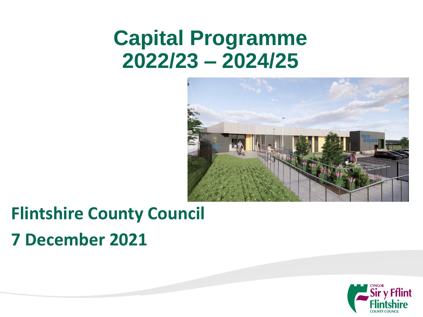# **Capital Programme 2022/23 – 2024/25**



### **Flintshire County Council 7 December 2021**

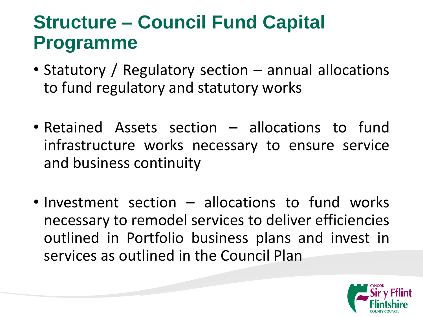### **Structure – Council Fund Capital Programme**

- Statutory / Regulatory section annual allocations to fund regulatory and statutory works
- Retained Assets section allocations to fund infrastructure works necessary to ensure service and business continuity
- Investment section allocations to fund works necessary to remodel services to deliver efficiencies outlined in Portfolio business plans and invest in services as outlined in the Council Plan

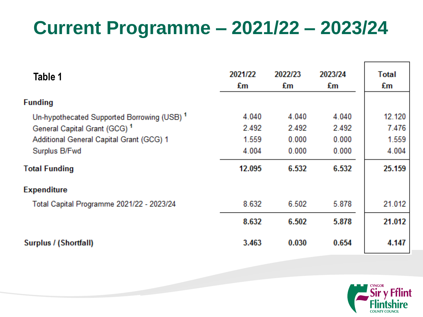# **Current Programme – 2021/22 – 2023/24**

| Table 1                                     | 2021/22<br>£m | 2022/23<br>£m | 2023/24<br>£m | Total<br>£m |
|---------------------------------------------|---------------|---------------|---------------|-------------|
| <b>Funding</b>                              |               |               |               |             |
| Un-hypothecated Supported Borrowing (USB) 1 | 4.040         | 4.040         | 4.040         | 12.120      |
| General Capital Grant (GCG) <sup>1</sup>    | 2.492         | 2.492         | 2.492         | 7.476       |
| Additional General Capital Grant (GCG) 1    | 1.559         | 0.000         | 0.000         | 1.559       |
| Surplus B/Fwd                               | 4.004         | 0.000         | 0.000         | 4.004       |
| <b>Total Funding</b>                        | 12.095        | 6.532         | 6.532         | 25.159      |
| <b>Expenditure</b>                          |               |               |               |             |
| Total Capital Programme 2021/22 - 2023/24   | 8.632         | 6.502         | 5.878         | 21.012      |
|                                             | 8.632         | 6.502         | 5.878         | 21.012      |
| Surplus / (Shortfall)                       | 3.463         | 0.030         | 0.654         | 4.147       |

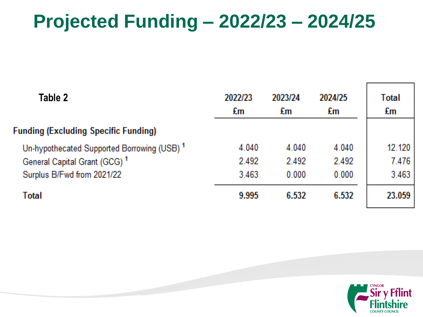### **Projected Funding – 2022/23 – 2024/25**

| Table 2                                     | 2022/23<br>£m | 2023/24<br>£m | 2024/25<br>£m | Total<br>£m |
|---------------------------------------------|---------------|---------------|---------------|-------------|
| <b>Funding (Excluding Specific Funding)</b> |               |               |               |             |
| Un-hypothecated Supported Borrowing (USB) 1 | 4.040         | 4.040         | 4.040         | 12.120      |
| General Capital Grant (GCG) <sup>1</sup>    | 2.492         | 2.492         | 2.492         | 7.476       |
| Surplus B/Fwd from 2021/22                  | 3.463         | 0.000         | 0.000         | 3.463       |
| Total                                       | 9.995         | 6.532         | 6.532         | 23.059      |

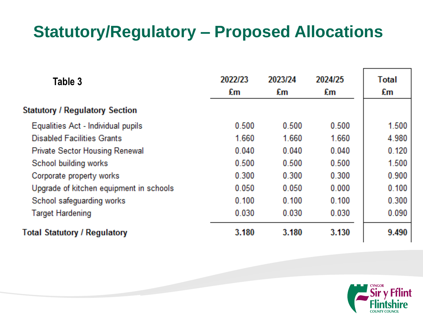#### **Statutory/Regulatory – Proposed Allocations**

| Table 3                                 | 2022/23<br>£m | 2023/24<br>£m | 2024/25<br>£m | Total<br>£m |
|-----------------------------------------|---------------|---------------|---------------|-------------|
| <b>Statutory / Regulatory Section</b>   |               |               |               |             |
| Equalities Act - Individual pupils      | 0.500         | 0.500         | 0.500         | 1.500       |
| <b>Disabled Facilities Grants</b>       | 1.660         | 1.660         | 1.660         | 4.980       |
| <b>Private Sector Housing Renewal</b>   | 0.040         | 0.040         | 0.040         | 0.120       |
| School building works                   | 0.500         | 0.500         | 0.500         | 1.500       |
| Corporate property works                | 0.300         | 0.300         | 0.300         | 0.900       |
| Upgrade of kitchen equipment in schools | 0.050         | 0.050         | 0.000         | 0.100       |
| School safeguarding works               | 0.100         | 0.100         | 0.100         | 0.300       |
| <b>Target Hardening</b>                 | 0.030         | 0.030         | 0.030         | 0.090       |
| <b>Total Statutory / Regulatory</b>     | 3.180         | 3.180         | 3.130         | 9.490       |

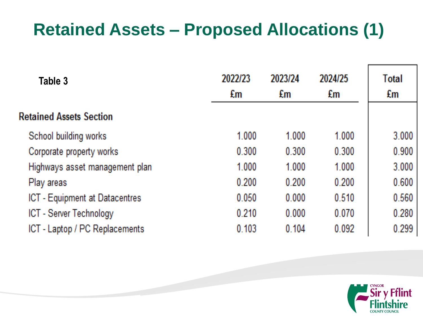#### **Retained Assets – Proposed Allocations (1)**

| Table 3                        | 2022/23<br>£m | 2023/24<br>£m | 2024/25<br>£m | Total<br>£m |
|--------------------------------|---------------|---------------|---------------|-------------|
| <b>Retained Assets Section</b> |               |               |               |             |
| School building works          | 1.000         | 1.000         | 1.000         | 3.000       |
| Corporate property works       | 0.300         | 0.300         | 0.300         | 0.900       |
| Highways asset management plan | 1.000         | 1.000         | 1.000         | 3.000       |
| Play areas                     | 0.200         | 0.200         | 0.200         | 0.600       |
| ICT - Equipment at Datacentres | 0.050         | 0.000         | 0.510         | 0.560       |
| ICT - Server Technology        | 0.210         | 0.000         | 0.070         | 0.280       |
| ICT - Laptop / PC Replacements | 0.103         | 0.104         | 0.092         | 0.299       |

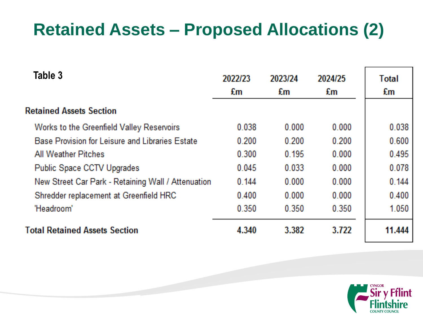#### **Retained Assets – Proposed Allocations (2)**

| Table 3                                            | 2022/23<br>£m | 2023/24<br>£m | 2024/25<br>£m | <b>Total</b><br>£m |
|----------------------------------------------------|---------------|---------------|---------------|--------------------|
| <b>Retained Assets Section</b>                     |               |               |               |                    |
| Works to the Greenfield Valley Reservoirs          | 0.038         | 0.000         | 0.000         | 0.038              |
| Base Provision for Leisure and Libraries Estate    | 0.200         | 0.200         | 0.200         | 0.600              |
| <b>All Weather Pitches</b>                         | 0.300         | 0.195         | 0.000         | 0.495              |
| Public Space CCTV Upgrades                         | 0.045         | 0.033         | 0.000         | 0.078              |
| New Street Car Park - Retaining Wall / Attenuation | 0.144         | 0.000         | 0.000         | 0.144              |
| Shredder replacement at Greenfield HRC             | 0.400         | 0.000         | 0.000         | 0.400              |
| 'Headroom'                                         | 0.350         | 0.350         | 0.350         | 1.050              |
| <b>Total Retained Assets Section</b>               | 4.340         | 3.382         | 3.722         | 11.444             |

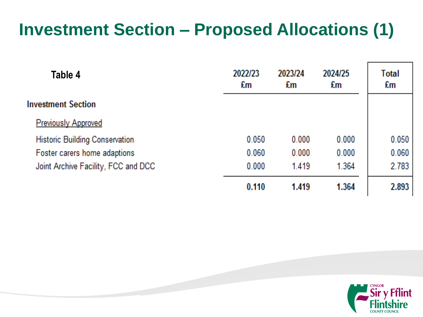#### **Investment Section – Proposed Allocations (1)**

| Table 4                               | 2022/23<br>£m | 2023/24<br>£m | 2024/25<br>£m | Total<br>£m |
|---------------------------------------|---------------|---------------|---------------|-------------|
| <b>nvestment Section</b>              |               |               |               |             |
| <b>Previously Approved</b>            |               |               |               |             |
| <b>Historic Building Conservation</b> | 0.050         | 0.000         | 0.000         | 0.050       |
| Foster carers home adaptions          | 0.060         | 0.000         | 0.000         | 0.060       |
| Joint Archive Facility, FCC and DCC   | 0.000         | 1.419         | 1.364         | 2.783       |
|                                       | 0.110         | 1.419         | 1.364         | 2.893       |

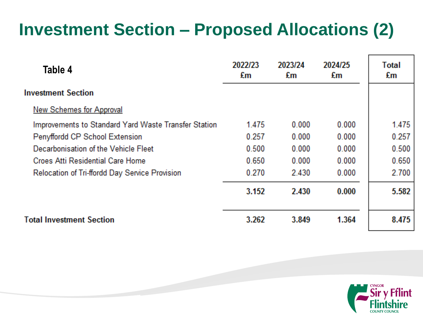### **Investment Section – Proposed Allocations (2)**

| Table 4                                              | 2022/23<br>£m | 2023/24<br>£m | 2024/25<br>£m | Total<br>£m |
|------------------------------------------------------|---------------|---------------|---------------|-------------|
| <b>Investment Section</b>                            |               |               |               |             |
| <b>New Schemes for Approval</b>                      |               |               |               |             |
| Improvements to Standard Yard Waste Transfer Station | 1.475         | 0.000         | 0.000         | 1.475       |
| Penyffordd CP School Extension                       | 0.257         | 0.000         | 0.000         | 0.257       |
| Decarbonisation of the Vehicle Fleet                 | 0.500         | 0.000         | 0.000         | 0.500       |
| <b>Croes Atti Residential Care Home</b>              | 0.650         | 0.000         | 0.000         | 0.650       |
| Relocation of Tri-ffordd Day Service Provision       | 0.270         | 2.430         | 0.000         | 2.700       |
|                                                      | 3.152         | 2.430         | 0.000         | 5.582       |
| <b>Total Investment Section</b>                      | 3.262         | 3.849         | 1.364         | 8.475       |

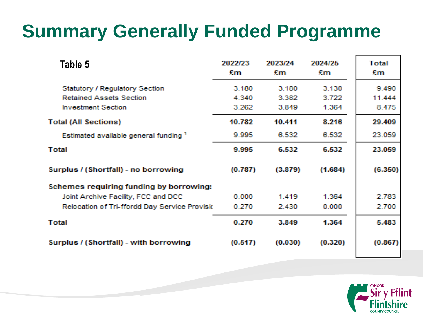# **Summary Generally Funded Programme**

| Table 5                                          | 2022/23<br>£m | 2023/24<br>£m | 2024/25<br>£m | Total<br>£m |
|--------------------------------------------------|---------------|---------------|---------------|-------------|
| <b>Statutory / Requlatory Section</b>            | 3.180         | 3.180         | 3.130         | 9.490       |
| <b>Retained Assets Section</b>                   | 4,340         | 3.382         | 3.722         | 11.444      |
| <b>Investment Section</b>                        | 3.262         | 3.849         | 1.364         | 8.475       |
| <b>Total (All Sections)</b>                      | 10.782        | 10.411        | 8.216         | 29.409      |
| Estimated available general funding <sup>1</sup> | 9.995         | 6.532         | 6.532         | 23.059      |
| Total                                            | 9.995         | 6.532         | 6.532         | 23.059      |
| Surplus / (Shortfall) - no borrowing             | (0.787)       | (3.879)       | (1.684)       | (6.350)     |
| Schemes requiring funding by borrowing:          |               |               |               |             |
| Joint Archive Facility, FCC and DCC              | 0.000         | 1.419         | 1.364         | 2.783       |
| Relocation of Tri-ffordd Day Service Provisio    | 0.270         | 2.430         | 0.000         | 2.700       |
| Total                                            | 0.270         | 3.849         | 1.364         | 5.483       |
| Surplus / (Shortfall) - with borrowing           | (0.517)       | (0.030)       | (0.320)       | (0.867)     |

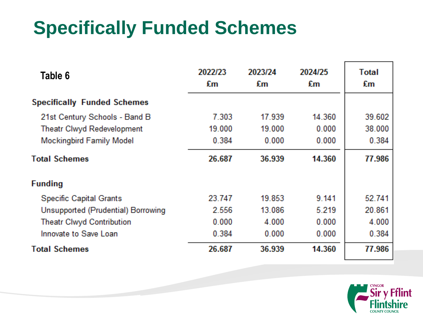# **Specifically Funded Schemes**

| Table 6                            | 2022/23<br>£m | 2023/24<br>£m | 2024/25<br>£m | Total<br>£m |
|------------------------------------|---------------|---------------|---------------|-------------|
| <b>Specifically Funded Schemes</b> |               |               |               |             |
| 21st Century Schools - Band B      | 7.303         | 17.939        | 14.360        | 39.602      |
| Theatr Clwyd Redevelopment         | 19.000        | 19.000        | 0.000         | 38.000      |
| <b>Mockingbird Family Model</b>    | 0.384         | 0.000         | 0.000         | 0.384       |
| <b>Total Schemes</b>               | 26.687        | 36.939        | 14.360        | 77.986      |
| <b>Funding</b>                     |               |               |               |             |
| <b>Specific Capital Grants</b>     | 23.747        | 19.853        | 9.141         | 52.741      |
| Unsupported (Prudential) Borrowing | 2.556         | 13.086        | 5.219         | 20.861      |
| <b>Theatr Clwyd Contribution</b>   | 0.000         | 4.000         | 0.000         | 4.000       |
| Innovate to Save Loan              | 0.384         | 0.000         | 0.000         | 0.384       |
| <b>Total Schemes</b>               | 26.687        | 36.939        | 14.360        | 77.986      |

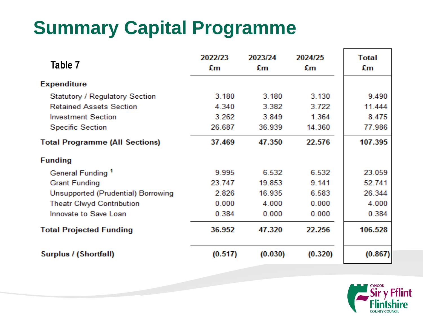# **Summary Capital Programme**

| Table 7                               | 2022/23<br>£m | 2023/24<br>£m | 2024/25<br>£m | <b>Total</b><br>£m |
|---------------------------------------|---------------|---------------|---------------|--------------------|
| <b>Expenditure</b>                    |               |               |               |                    |
| Statutory / Regulatory Section        | 3.180         | 3.180         | 3.130         | 9.490              |
| <b>Retained Assets Section</b>        | 4.340         | 3.382         | 3.722         | 11.444             |
| <b>Investment Section</b>             | 3.262         | 3.849         | 1.364         | 8.475              |
| <b>Specific Section</b>               | 26.687        | 36.939        | 14.360        | 77.986             |
| <b>Total Programme (All Sections)</b> | 37.469        | 47.350        | 22.576        | 107.395            |
| <b>Funding</b>                        |               |               |               |                    |
| General Funding <sup>1</sup>          | 9.995         | 6.532         | 6.532         | 23.059             |
| <b>Grant Funding</b>                  | 23.747        | 19.853        | 9.141         | 52.741             |
| Unsupported (Prudential) Borrowing    | 2.826         | 16.935        | 6.583         | 26.344             |
| <b>Theatr Clwyd Contribution</b>      | 0.000         | 4.000         | 0.000         | 4.000              |
| Innovate to Save Loan                 | 0.384         | 0.000         | 0.000         | 0.384              |
| <b>Total Projected Funding</b>        | 36.952        | 47.320        | 22.256        | 106.528            |
| Surplus / (Shortfall)                 | (0.517)       | (0.030)       | (0.320)       | (0.867)            |